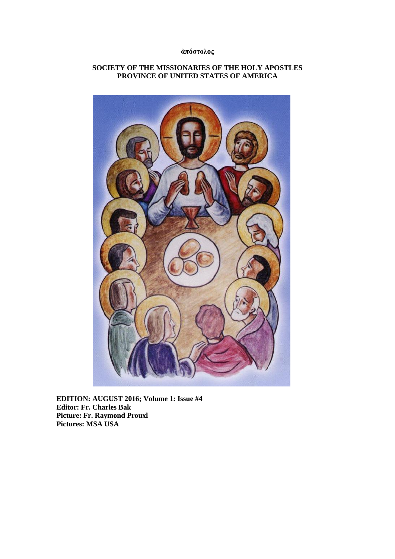## **ἀπόστολος**

## **SOCIETY OF THE MISSIONARIES OF THE HOLY APOSTLES PROVINCE OF UNITED STATES OF AMERICA**



**EDITION: AUGUST 2016; Volume 1: Issue #4 Editor: Fr. Charles Bak Picture: Fr. Raymond Prouxl Pictures: MSA USA**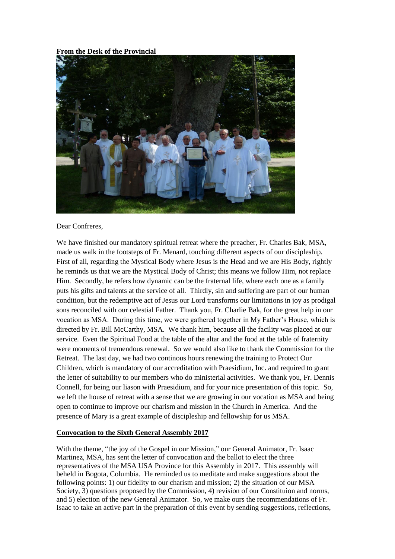#### **From the Desk of the Provincial**



#### Dear Confreres,

We have finished our mandatory spiritual retreat where the preacher, Fr. Charles Bak, MSA, made us walk in the footsteps of Fr. Menard, touching different aspects of our discipleship. First of all, regarding the Mystical Body where Jesus is the Head and we are His Body, rightly he reminds us that we are the Mystical Body of Christ; this means we follow Him, not replace Him. Secondly, he refers how dynamic can be the fraternal life, where each one as a family puts his gifts and talents at the service of all. Thirdly, sin and suffering are part of our human condition, but the redemptive act of Jesus our Lord transforms our limitations in joy as prodigal sons reconciled with our celestial Father. Thank you, Fr. Charlie Bak, for the great help in our vocation as MSA. During this time, we were gathered together in My Father's House, which is directed by Fr. Bill McCarthy, MSA. We thank him, because all the facility was placed at our service. Even the Spiritual Food at the table of the altar and the food at the table of fraternity were moments of tremendous renewal. So we would also like to thank the Commission for the Retreat. The last day, we had two continous hours renewing the training to Protect Our Children, which is mandatory of our accreditation with Praesidium, Inc. and required to grant the letter of suitability to our members who do ministerial activities. We thank you, Fr. Dennis Connell, for being our liason with Praesidium, and for your nice presentation of this topic. So, we left the house of retreat with a sense that we are growing in our vocation as MSA and being open to continue to improve our charism and mission in the Church in America. And the presence of Mary is a great example of discipleship and fellowship for us MSA.

### **Convocation to the Sixth General Assembly 2017**

With the theme, "the joy of the Gospel in our Mission," our General Animator, Fr. Isaac Martinez, MSA, has sent the letter of convocation and the ballot to elect the three representatives of the MSA USA Province for this Assembly in 2017. This assembly will beheld in Bogota, Columbia. He reminded us to meditate and make suggestions about the following points: 1) our fidelity to our charism and mission; 2) the situation of our MSA Society, 3) questions proposed by the Commission, 4) revision of our Constituion and norms, and 5) election of the new General Animator. So, we make ours the recommendations of Fr. Isaac to take an active part in the preparation of this event by sending suggestions, reflections,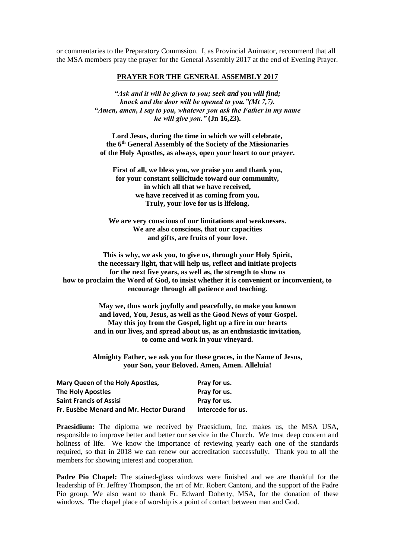or commentaries to the Preparatory Commssion. I, as Provincial Animator, recommend that all the MSA members pray the prayer for the General Assembly 2017 at the end of Evening Prayer.

#### **PRAYER FOR THE GENERAL ASSEMBLY 2017**

*"Ask and it will be given to you; seek and you will find; knock and the door will be opened to you."(Mt 7,7). "Amen, amen, I say to you, whatever you ask the Father in my name he will give you."* **(Jn 16,23).**

**Lord Jesus, during the time in which we will celebrate, the 6th General Assembly of the Society of the Missionaries of the Holy Apostles, as always, open your heart to our prayer.**

**First of all, we bless you, we praise you and thank you, for your constant sollicitude toward our community, in which all that we have received, we have received it as coming from you. Truly, your love for us is lifelong.**

**We are very conscious of our limitations and weaknesses. We are also conscious, that our capacities and gifts, are fruits of your love.**

**This is why, we ask you, to give us, through your Holy Spirit, the necessary light, that will help us, reflect and initiate projects for the next five years, as well as, the strength to show us how to proclaim the Word of God, to insist whether it is convenient or inconvenient, to encourage through all patience and teaching.**

> **May we, thus work joyfully and peacefully, to make you known and loved, You, Jesus, as well as the Good News of your Gospel. May this joy from the Gospel, light up a fire in our hearts and in our lives, and spread about us, as an enthusiastic invitation, to come and work in your vineyard.**

> **Almighty Father, we ask you for these graces, in the Name of Jesus, your Son, your Beloved. Amen, Amen. Alleluia!**

| Mary Queen of the Holy Apostles,<br>The Holy Apostles<br><b>Saint Francis of Assisi</b> | Pray for us.<br>Pray for us.<br>Pray for us. |                                         |                   |
|-----------------------------------------------------------------------------------------|----------------------------------------------|-----------------------------------------|-------------------|
|                                                                                         |                                              | Fr. Eusèbe Menard and Mr. Hector Durand | Intercede for us. |

**Praesidium:** The diploma we received by Praesidium, Inc. makes us, the MSA USA, responsible to improve better and better our service in the Church. We trust deep concern and holiness of life. We know the importance of reviewing yearly each one of the standards required, so that in 2018 we can renew our accreditation successfully. Thank you to all the members for showing interest and cooperation.

**Padre Pio Chapel:** The stained-glass windows were finished and we are thankful for the leadership of Fr. Jeffrey Thompson, the art of Mr. Robert Cantoni, and the support of the Padre Pio group. We also want to thank Fr. Edward Doherty, MSA, for the donation of these windows. The chapel place of worship is a point of contact between man and God.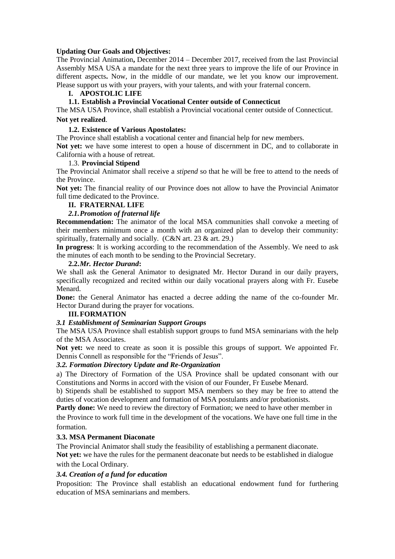### **Updating Our Goals and Objectives:**

The Provincial Animation**,** December 2014 – December 2017, received from the last Provincial Assembly MSA USA a mandate for the next three years to improve the life of our Province in different aspects**.** Now, in the middle of our mandate, we let you know our improvement. Please support us with your prayers, with your talents, and with your fraternal concern.

#### **I. APOSTOLIC LIFE**

### **1.1. Establish a Provincial Vocational Center outside of Connecticut**

The MSA USA Province, shall establish a Provincial vocational center outside of Connecticut. **Not yet realized**.

# **1.2. Existence of Various Apostolates:**

The Province shall establish a vocational center and financial help for new members.

**Not yet:** we have some interest to open a house of discernment in DC, and to collaborate in California with a house of retreat.

#### 1.3. **Provincial Stipend**

The Provincial Animator shall receive a *stipend* so that he will be free to attend to the needs of the Province.

**Not yet:** The financial reality of our Province does not allow to have the Provincial Animator full time dedicated to the Province.

#### **II. FRATERNAL LIFE**

## *2.1.Promotion of fraternal life*

**Recommendation:** The animator of the local MSA communities shall convoke a meeting of their members minimum once a month with an organized plan to develop their community: spiritually, fraternally and socially. (C&N art. 23 & art. 29.)

**In progress**: It is working according to the recommendation of the Assembly. We need to ask the minutes of each month to be sending to the Provincial Secretary.

#### **2.2.***Mr. Hector Durand***:**

We shall ask the General Animator to designated Mr. Hector Durand in our daily prayers, specifically recognized and recited within our daily vocational prayers along with Fr. Eusebe Menard.

**Done:** the General Animator has enacted a decree adding the name of the co-founder Mr. Hector Durand during the prayer for vocations.

### **III.FORMATION**

#### *3.1 Establishment of Seminarian Support Groups*

The MSA USA Province shall establish support groups to fund MSA seminarians with the help of the MSA Associates.

**Not yet:** we need to create as soon it is possible this groups of support. We appointed Fr. Dennis Connell as responsible for the "Friends of Jesus".

### *3.2. Formation Directory Update and Re-Organization*

a) The Directory of Formation of the USA Province shall be updated consonant with our Constitutions and Norms in accord with the vision of our Founder, Fr Eusebe Menard.

b) Stipends shall be established to support MSA members so they may be free to attend the duties of vocation development and formation of MSA postulants and/or probationists.

Partly done: We need to review the directory of Formation; we need to have other member in

the Province to work full time in the development of the vocations. We have one full time in the formation.

#### **3.3. MSA Permanent Diaconate**

The Provincial Animator shall study the feasibility of establishing a permanent diaconate.

**Not yet:** we have the rules for the permanent deaconate but needs to be established in dialogue with the Local Ordinary.

#### *3.4. Creation of a fund for education*

Proposition: The Province shall establish an educational endowment fund for furthering education of MSA seminarians and members.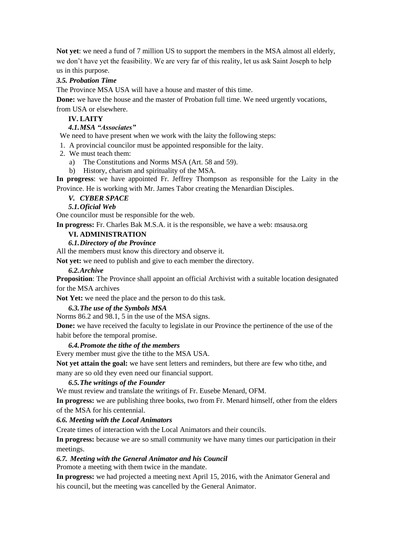**Not yet**: we need a fund of 7 million US to support the members in the MSA almost all elderly, we don't have yet the feasibility. We are very far of this reality, let us ask Saint Joseph to help us in this purpose.

## *3.5. Probation Time*

The Province MSA USA will have a house and master of this time.

**Done:** we have the house and the master of Probation full time. We need urgently vocations, from USA or elsewhere.

## **IV. LAITY**

*4.1.MSA "Associates"* 

We need to have present when we work with the laity the following steps:

1. A provincial councilor must be appointed responsible for the laity.

2. We must teach them:

- a) The Constitutions and Norms MSA (Art. 58 and 59).
- b) History, charism and spirituality of the MSA.

**In progress**: we have appointed Fr. Jeffrey Thompson as responsible for the Laity in the Province. He is working with Mr. James Tabor creating the Menardian Disciples.

*V. CYBER SPACE*

*5.1.Oficial Web*

One councilor must be responsible for the web.

**In progress:** Fr. Charles Bak M.S.A. it is the responsible, we have a web: msausa.org

### **VI. ADMINISTRATION**

## *6.1.Directory of the Province*

All the members must know this directory and observe it.

**Not yet:** we need to publish and give to each member the directory.

### *6.2.Archive*

**Proposition**: The Province shall appoint an official Archivist with a suitable location designated for the MSA archives

**Not Yet:** we need the place and the person to do this task.

### *6.3.The use of the Symbols MSA*

Norms 86.2 and 98.1, 5 in the use of the MSA signs.

**Done:** we have received the faculty to legislate in our Province the pertinence of the use of the habit before the temporal promise.

### *6.4.Promote the tithe of the members*

Every member must give the tithe to the MSA USA.

**Not yet attain the goal:** we have sent letters and reminders, but there are few who tithe, and many are so old they even need our financial support.

### *6.5.The writings of the Founder*

We must review and translate the writings of Fr. Eusebe Menard, OFM.

**In progress:** we are publishing three books, two from Fr. Menard himself, other from the elders of the MSA for his centennial.

## *6.6. Meeting with the Local Animators*

Create times of interaction with the Local Animators and their councils.

**In progress:** because we are so small community we have many times our participation in their meetings.

## *6.7. Meeting with the General Animator and his Council*

Promote a meeting with them twice in the mandate.

**In progress:** we had projected a meeting next April 15, 2016, with the Animator General and his council, but the meeting was cancelled by the General Animator.